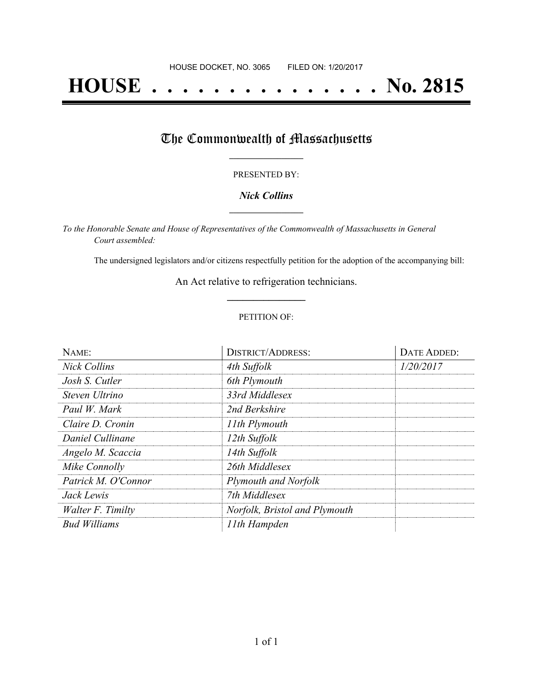# **HOUSE . . . . . . . . . . . . . . . No. 2815**

## The Commonwealth of Massachusetts

#### PRESENTED BY:

#### *Nick Collins* **\_\_\_\_\_\_\_\_\_\_\_\_\_\_\_\_\_**

*To the Honorable Senate and House of Representatives of the Commonwealth of Massachusetts in General Court assembled:*

The undersigned legislators and/or citizens respectfully petition for the adoption of the accompanying bill:

An Act relative to refrigeration technicians. **\_\_\_\_\_\_\_\_\_\_\_\_\_\_\_**

#### PETITION OF:

| NAME:               | <b>DISTRICT/ADDRESS:</b>      | DATE ADDED: |
|---------------------|-------------------------------|-------------|
| <b>Nick Collins</b> | 4th Suffolk                   | 1/20/2017   |
| Josh S. Cutler      | 6th Plymouth                  |             |
| Steven Ultrino      | 33rd Middlesex                |             |
| Paul W. Mark        | 2nd Berkshire                 |             |
| Claire D. Cronin    | 11th Plymouth                 |             |
| Daniel Cullinane    | 12th Suffolk                  |             |
| Angelo M. Scaccia   | 14th Suffolk                  |             |
| Mike Connolly       | 26th Middlesex                |             |
| Patrick M. O'Connor | Plymouth and Norfolk          |             |
| Jack Lewis          | 7th Middlesex                 |             |
| Walter F. Timilty   | Norfolk, Bristol and Plymouth |             |
| <b>Bud Williams</b> | 11th Hampden                  |             |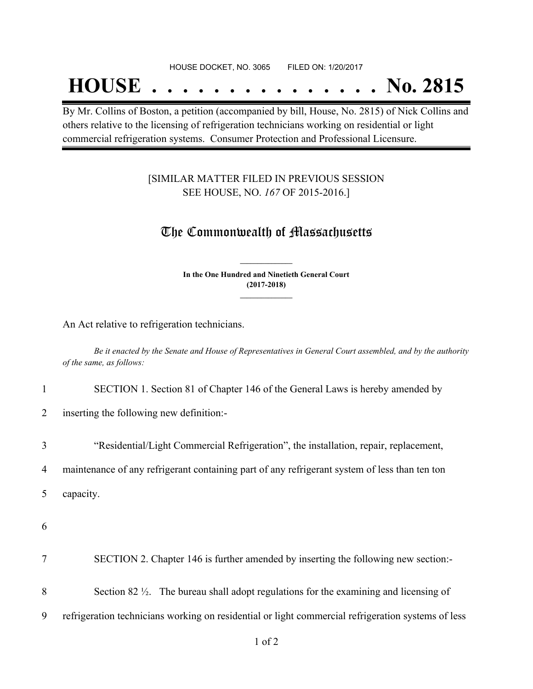## **HOUSE . . . . . . . . . . . . . . . No. 2815**

By Mr. Collins of Boston, a petition (accompanied by bill, House, No. 2815) of Nick Collins and others relative to the licensing of refrigeration technicians working on residential or light commercial refrigeration systems. Consumer Protection and Professional Licensure.

#### [SIMILAR MATTER FILED IN PREVIOUS SESSION SEE HOUSE, NO. *167* OF 2015-2016.]

### The Commonwealth of Massachusetts

**In the One Hundred and Ninetieth General Court (2017-2018) \_\_\_\_\_\_\_\_\_\_\_\_\_\_\_**

**\_\_\_\_\_\_\_\_\_\_\_\_\_\_\_**

An Act relative to refrigeration technicians.

Be it enacted by the Senate and House of Representatives in General Court assembled, and by the authority *of the same, as follows:*

1 SECTION 1. Section 81 of Chapter 146 of the General Laws is hereby amended by

2 inserting the following new definition:-

3 "Residential/Light Commercial Refrigeration", the installation, repair, replacement,

4 maintenance of any refrigerant containing part of any refrigerant system of less than ten ton

5 capacity.

6

7 SECTION 2. Chapter 146 is further amended by inserting the following new section:-

8 Section 82 ½. The bureau shall adopt regulations for the examining and licensing of

9 refrigeration technicians working on residential or light commercial refrigeration systems of less